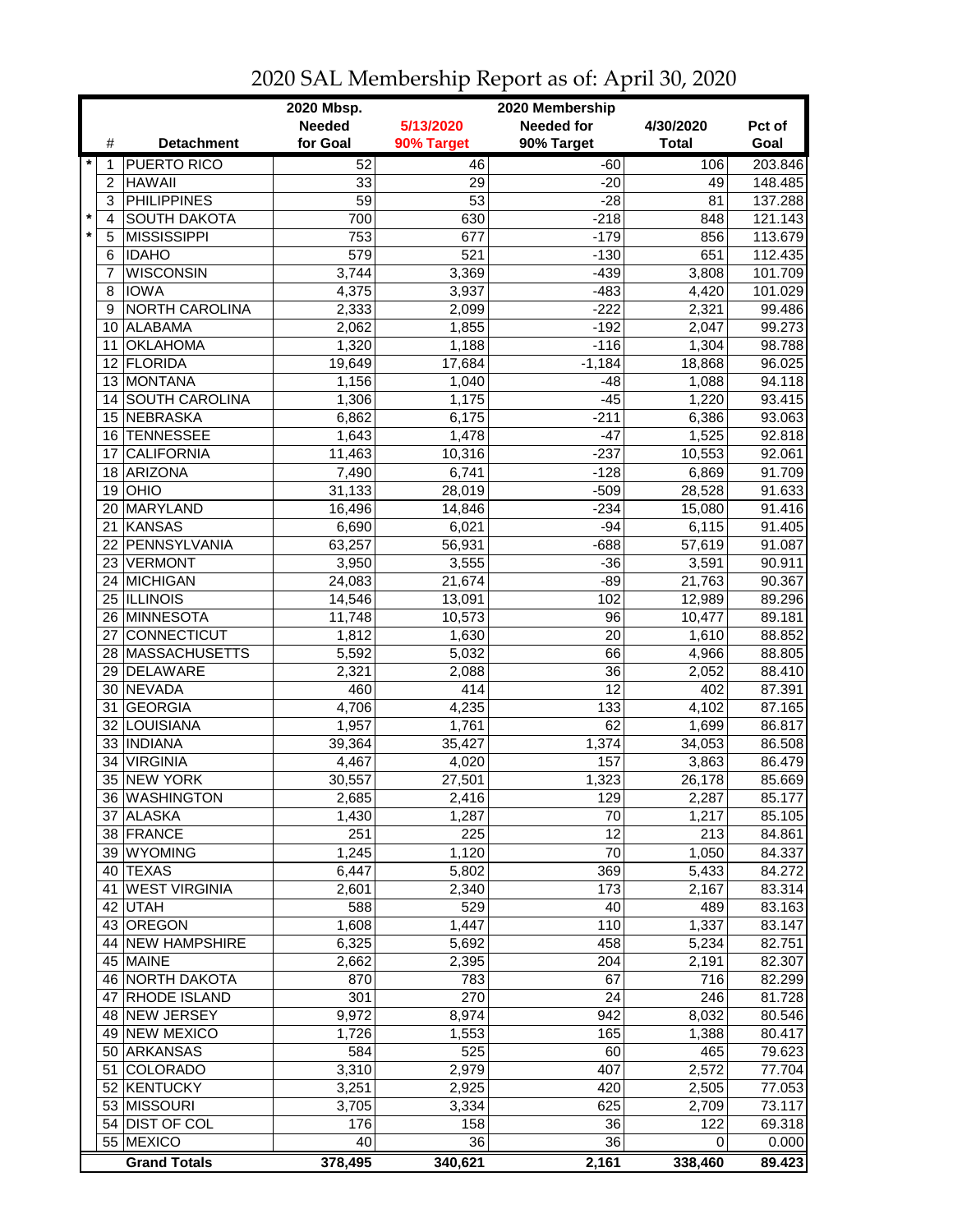|         |                 |                                | 2020 Membership<br>2020 Mbsp. |                  |                   |              |                  |  |
|---------|-----------------|--------------------------------|-------------------------------|------------------|-------------------|--------------|------------------|--|
|         |                 |                                | <b>Needed</b>                 | 5/13/2020        | <b>Needed for</b> | 4/30/2020    | Pct of           |  |
|         | #               | <b>Detachment</b>              | for Goal                      | 90% Target       | 90% Target        | <b>Total</b> | Goal             |  |
| $\star$ | 1               | <b>PUERTO RICO</b>             | 52                            | 46               | $-60$             | 106          | 203.846          |  |
|         | $\overline{c}$  | <b>HAWAII</b>                  | 33                            | 29               | $-20$             | 49           | 148.485          |  |
|         | 3               | <b>PHILIPPINES</b>             | $\overline{59}$               | $\overline{53}$  | $-28$             | 81           | 137.288          |  |
| $\star$ | 4               | <b>SOUTH DAKOTA</b>            | 700                           | 630              | $-218$            | 848          | 121.143          |  |
| $\star$ | 5               | <b>MISSISSIPPI</b>             | 753                           | 677              | $-179$            | 856          | 113.679          |  |
|         | 6               | <b>IDAHO</b>                   | 579                           | $\overline{521}$ | $-130$            | 651          | 112.435          |  |
|         | 7               | <b>WISCONSIN</b>               | 3,744                         | 3,369            | $-439$            | 3,808        | 101.709          |  |
|         | 8               | <b>IOWA</b>                    | 4,375                         | 3,937            | $-483$            | 4,420        | 101.029          |  |
|         | 9               | NORTH CAROLINA                 | 2,333                         | 2,099            | $-222$            | 2,321        | 99.486           |  |
|         | 10              | ALABAMA                        | 2,062                         | 1,855            | $-192$            | 2,047        | 99.273           |  |
|         | 11              | <b>OKLAHOMA</b>                | 1,320                         | 1,188            | $-116$            | 1,304        | 98.788           |  |
|         | 12 <sup>2</sup> | FLORIDA                        | 19,649                        | 17,684           | $-1,184$          | 18,868       | 96.025           |  |
|         |                 | 13 MONTANA                     | 1,156                         | 1,040            | $-48$             | 1,088        | 94.118           |  |
|         |                 | 14 SOUTH CAROLINA              | 1,306                         | 1,175            | $-45$             | 1,220        | 93.415           |  |
|         |                 | 15 NEBRASKA                    | 6,862                         |                  | $-211$            | 6,386        | 93.063           |  |
|         |                 |                                |                               | 6,175            |                   |              |                  |  |
|         | 16<br>17        | TENNESSEE<br><b>CALIFORNIA</b> | 1,643                         | 1,478            | $-47$<br>$-237$   | 1,525        | 92.818           |  |
|         |                 | ARIZONA                        | 11,463                        | 10,316           | $-128$            | 10,553       | 92.061<br>91.709 |  |
|         | 18              |                                | 7,490                         | 6,741            |                   | 6,869        |                  |  |
|         | 19              | OHIO<br>20 MARYLAND            | 31,133                        | 28,019           | $-509$            | 28,528       | 91.633           |  |
|         |                 |                                | 16,496                        | 14,846           | $-234$            | 15,080       | 91.416           |  |
|         | 21              | KANSAS                         | 6,690                         | 6,021            | $-94$             | 6,115        | 91.405           |  |
|         |                 | 22 PENNSYLVANIA                | 63,257                        | 56,931           | $-688$            | 57,619       | 91.087           |  |
|         |                 | 23 VERMONT                     | 3,950                         | 3,555            | $-36$             | 3,591        | 90.911           |  |
|         |                 | 24 MICHIGAN                    | 24,083                        | 21,674           | $-89$             | 21,763       | 90.367           |  |
|         |                 | 25 ILLINOIS                    | 14,546                        | 13,091           | 102               | 12,989       | 89.296           |  |
|         |                 | 26 MINNESOTA                   | 11,748                        | 10,573           | $\overline{96}$   | 10,477       | 89.181           |  |
|         | 27              | <b>CONNECTICUT</b>             | 1,812                         | 1,630            | 20                | 1,610        | 88.852           |  |
|         |                 | 28 MASSACHUSETTS               | 5,592                         | 5,032            | 66                | 4,966        | 88.805           |  |
|         | 29              | DELAWARE                       | 2,321                         | 2,088            | 36                | 2,052        | 88.410           |  |
|         |                 | 30 NEVADA                      | 460                           | 414              | 12                | 402          | 87.391           |  |
|         | 31              | <b>GEORGIA</b>                 | 4,706                         | 4,235            | 133               | 4,102        | 87.165           |  |
|         |                 | 32 LOUISIANA                   | 1,957                         | 1,761            | 62                | 1,699        | 86.817           |  |
|         |                 | 33 INDIANA                     | 39,364                        | 35,427           | 1,374             | 34,053       | 86.508           |  |
|         | 34              | <b>VIRGINIA</b>                | 4,467                         | 4,020            | 157               | 3,863        | 86.479           |  |
|         |                 | 35 NEW YORK                    | 30,557                        | 27,501           | 1,323             | 26,178       | 85.669           |  |
|         |                 | 36 WASHINGTON                  | 2,685                         | 2,416            | $\overline{129}$  | 2,287        | 85.177           |  |
|         |                 | 37 ALASKA                      | 1,430                         | 1,287            | 70                | 1,217        | 85.105           |  |
|         |                 | 38 FRANCE                      | 251                           | 225              | 12                | 213          | 84.861           |  |
|         |                 | 39 WYOMING                     | 1,245                         | 1,120            | 70                | 1,050        | 84.337           |  |
|         |                 | 40 TEXAS                       | 6,447                         | 5,802            | 369               | 5,433        | 84.272           |  |
|         | 41              | <b>WEST VIRGINIA</b>           | 2,601                         | 2,340            | 173               | 2,167        | 83.314           |  |
|         | 42              | <b>UTAH</b>                    | 588                           | 529              | 40                | 489          | 83.163           |  |
|         |                 | 43 OREGON                      | 1,608                         | 1,447            | 110               | 1,337        | 83.147           |  |
|         |                 | 44 NEW HAMPSHIRE               | 6,325                         | 5,692            | 458               | 5,234        | 82.751           |  |
|         |                 | 45 MAINE                       | 2,662                         | 2,395            | 204               | 2,191        | 82.307           |  |
|         |                 | 46 NORTH DAKOTA                | 870                           | 783              | 67                | 716          | 82.299           |  |
|         | 47              | <b>RHODE ISLAND</b>            | 301                           | 270              | 24                | 246          | 81.728           |  |
|         |                 | 48 NEW JERSEY                  | 9,972                         | 8,974            | 942               | 8,032        | 80.546           |  |
|         |                 | 49 NEW MEXICO                  | 1,726                         | 1,553            | 165               | 1,388        | 80.417           |  |
|         |                 | 50 ARKANSAS                    | 584                           | 525              | 60                | 465          | 79.623           |  |
|         | 51              | <b>COLORADO</b>                | 3,310                         | 2,979            | 407               | 2,572        | 77.704           |  |
|         |                 | 52 KENTUCKY                    | 3,251                         | 2,925            | 420               | 2,505        | 77.053           |  |
|         |                 | 53 MISSOURI                    | 3,705                         | 3,334            | 625               | 2,709        | 73.117           |  |
|         |                 | 54 DIST OF COL                 | 176                           | 158              | 36                | 122          | 69.318           |  |
|         |                 | 55 MEXICO                      | 40                            | 36               | 36                | 0            | 0.000            |  |
|         |                 | <b>Grand Totals</b>            | 378,495                       | 340,621          | 2,161             | 338,460      | 89.423           |  |

2020 SAL Membership Report as of: April 30, 2020